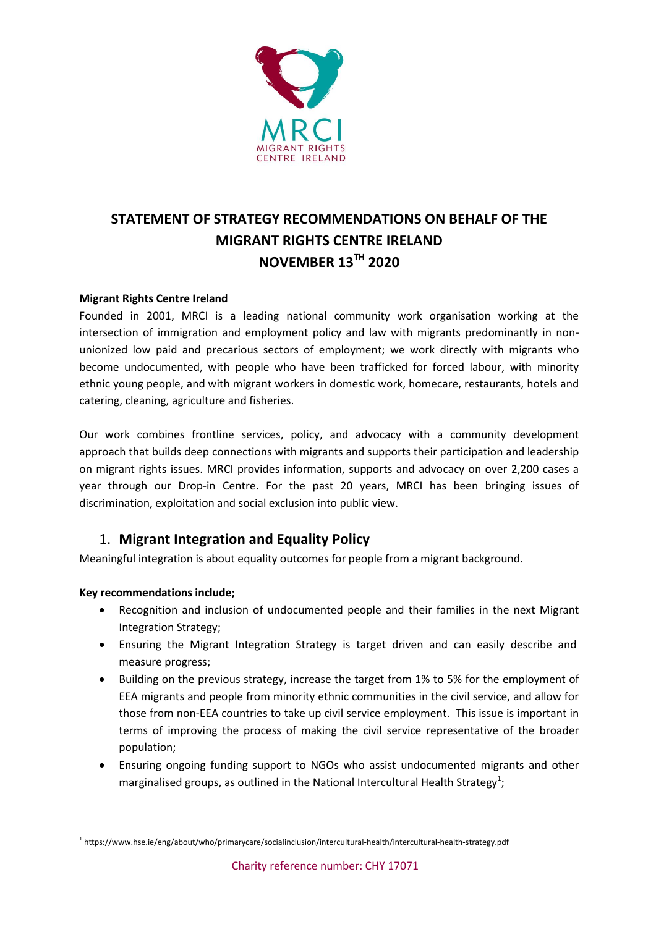

# **STATEMENT OF STRATEGY RECOMMENDATIONS ON BEHALF OF THE MIGRANT RIGHTS CENTRE IRELAND NOVEMBER 13TH 2020**

### **Migrant Rights Centre Ireland**

Founded in 2001, MRCI is a leading national community work organisation working at the intersection of immigration and employment policy and law with migrants predominantly in nonunionized low paid and precarious sectors of employment; we work directly with migrants who become undocumented, with people who have been trafficked for forced labour, with minority ethnic young people, and with migrant workers in domestic work, homecare, restaurants, hotels and catering, cleaning, agriculture and fisheries.

Our work combines frontline services, policy, and advocacy with a community development approach that builds deep connections with migrants and supports their participation and leadership on migrant rights issues. MRCI provides information, supports and advocacy on over 2,200 cases a year through our Drop-in Centre. For the past 20 years, MRCI has been bringing issues of discrimination, exploitation and social exclusion into public view.

# 1. **Migrant Integration and Equality Policy**

Meaningful integration is about equality outcomes for people from a migrant background.

#### **Key recommendations include;**

 $\overline{a}$ 

- Recognition and inclusion of undocumented people and their families in the next Migrant Integration Strategy;
- Ensuring the Migrant Integration Strategy is target driven and can easily describe and measure progress;
- Building on the previous strategy, increase the target from 1% to 5% for the employment of EEA migrants and people from minority ethnic communities in the civil service, and allow for those from non-EEA countries to take up civil service employment. This issue is important in terms of improving the process of making the civil service representative of the broader population;
- Ensuring ongoing funding support to NGOs who assist undocumented migrants and other marginalised groups, as outlined in the National Intercultural Health Strategy<sup>1</sup>;

<sup>&</sup>lt;sup>1</sup>https://www.hse.ie/eng/about/who/primarycare/socialinclusion/intercultural-health/intercultural-health-strategy.pdf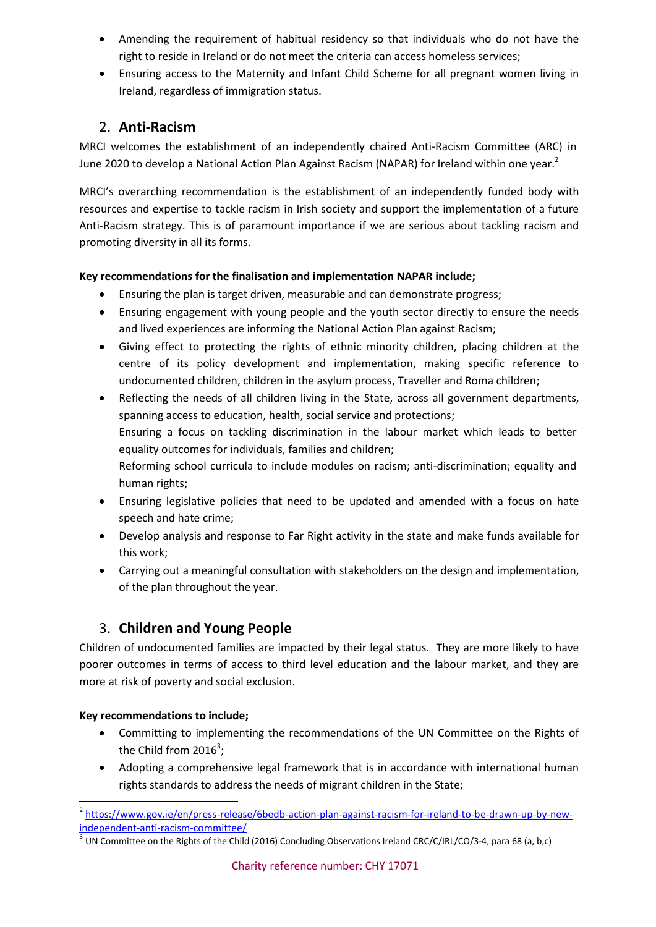- Amending the requirement of habitual residency so that individuals who do not have the right to reside in Ireland or do not meet the criteria can access homeless services;
- Ensuring access to the Maternity and Infant Child Scheme for all pregnant women living in Ireland, regardless of immigration status.

# 2. **Anti-Racism**

MRCI welcomes the establishment of an independently chaired Anti-Racism Committee (ARC) in June 2020 to develop a National Action Plan Against Racism (NAPAR) for Ireland within one year.<sup>2</sup>

MRCI's overarching recommendation is the establishment of an independently funded body with resources and expertise to tackle racism in Irish society and support the implementation of a future Anti-Racism strategy. This is of paramount importance if we are serious about tackling racism and promoting diversity in all its forms.

### **Key recommendations for the finalisation and implementation NAPAR include;**

- Ensuring the plan is target driven, measurable and can demonstrate progress;
- Ensuring engagement with young people and the youth sector directly to ensure the needs and lived experiences are informing the National Action Plan against Racism;
- Giving effect to protecting the rights of ethnic minority children, placing children at the centre of its policy development and implementation, making specific reference to undocumented children, children in the asylum process, Traveller and Roma children;
- Reflecting the needs of all children living in the State, across all government departments, spanning access to education, health, social service and protections; Ensuring a focus on tackling discrimination in the labour market which leads to better equality outcomes for individuals, families and children; Reforming school curricula to include modules on racism; anti-discrimination; equality and human rights;
- Ensuring legislative policies that need to be updated and amended with a focus on hate speech and hate crime;
- Develop analysis and response to Far Right activity in the state and make funds available for this work;
- Carrying out a meaningful consultation with stakeholders on the design and implementation, of the plan throughout the year.

# 3. **Children and Young People**

Children of undocumented families are impacted by their legal status. They are more likely to have poorer outcomes in terms of access to third level education and the labour market, and they are more at risk of poverty and social exclusion.

#### **Key recommendations to include;**

**.** 

- Committing to implementing the recommendations of the UN Committee on the Rights of the Child from 2016<sup>3</sup>;
- Adopting a comprehensive legal framework that is in accordance with international human rights standards to address the needs of migrant children in the State;

<sup>&</sup>lt;sup>2</sup> [https://www.gov.ie/en/press-release/6bedb-action-plan-against-racism-for-ireland-to-be-drawn-up-by-new](https://www.gov.ie/en/press-release/6bedb-action-plan-against-racism-for-ireland-to-be-drawn-up-by-new-independent-anti-racism-committee/)[independent-anti-racism-committee/](https://www.gov.ie/en/press-release/6bedb-action-plan-against-racism-for-ireland-to-be-drawn-up-by-new-independent-anti-racism-committee/)

 $^3$  UN Committee on the Rights of the Child (2016) Concluding Observations Ireland CRC/C/IRL/CO/3-4, para 68 (a, b,c)